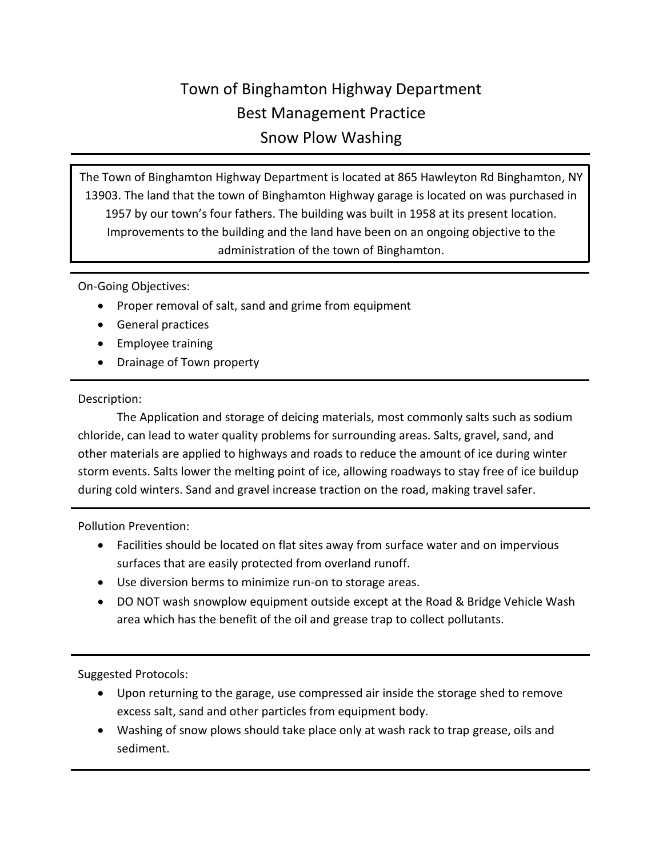## Town of Binghamton Highway Department Best Management Practice Snow Plow Washing

The Town of Binghamton Highway Department is located at 865 Hawleyton Rd Binghamton, NY 13903. The land that the town of Binghamton Highway garage is located on was purchased in 1957 by our town's four fathers. The building was built in 1958 at its present location. Improvements to the building and the land have been on an ongoing objective to the administration of the town of Binghamton.

On-Going Objectives:

- Proper removal of salt, sand and grime from equipment
- General practices
- Employee training
- Drainage of Town property

## Description:

The Application and storage of deicing materials, most commonly salts such as sodium chloride, can lead to water quality problems for surrounding areas. Salts, gravel, sand, and other materials are applied to highways and roads to reduce the amount of ice during winter storm events. Salts lower the melting point of ice, allowing roadways to stay free of ice buildup during cold winters. Sand and gravel increase traction on the road, making travel safer.

Pollution Prevention:

- Facilities should be located on flat sites away from surface water and on impervious surfaces that are easily protected from overland runoff.
- Use diversion berms to minimize run-on to storage areas.
- DO NOT wash snowplow equipment outside except at the Road & Bridge Vehicle Wash area which has the benefit of the oil and grease trap to collect pollutants.

Suggested Protocols:

- Upon returning to the garage, use compressed air inside the storage shed to remove excess salt, sand and other particles from equipment body.
- Washing of snow plows should take place only at wash rack to trap grease, oils and sediment.